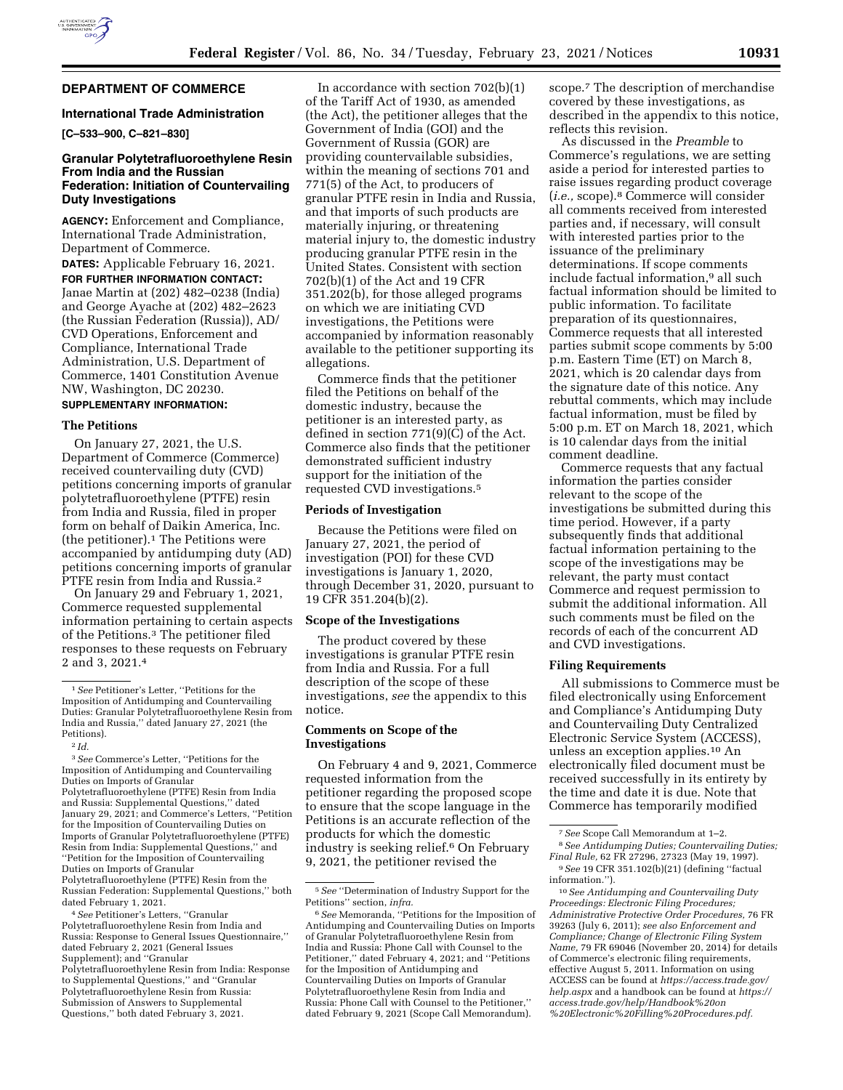

# **DEPARTMENT OF COMMERCE**

#### **International Trade Administration**

**[C–533–900, C–821–830]** 

# **Granular Polytetrafluoroethylene Resin From India and the Russian Federation: Initiation of Countervailing Duty Investigations**

**AGENCY:** Enforcement and Compliance, International Trade Administration, Department of Commerce.

**DATES:** Applicable February 16, 2021. **FOR FURTHER INFORMATION CONTACT:**  Janae Martin at (202) 482–0238 (India) and George Ayache at (202) 482–2623 (the Russian Federation (Russia)), AD/ CVD Operations, Enforcement and Compliance, International Trade Administration, U.S. Department of Commerce, 1401 Constitution Avenue NW, Washington, DC 20230.

#### **SUPPLEMENTARY INFORMATION:**

#### **The Petitions**

On January 27, 2021, the U.S. Department of Commerce (Commerce) received countervailing duty (CVD) petitions concerning imports of granular polytetrafluoroethylene (PTFE) resin from India and Russia, filed in proper form on behalf of Daikin America, Inc. (the petitioner).1 The Petitions were accompanied by antidumping duty (AD) petitions concerning imports of granular PTFE resin from India and Russia.<sup>2</sup>

On January 29 and February 1, 2021, Commerce requested supplemental information pertaining to certain aspects of the Petitions.3 The petitioner filed responses to these requests on February 2 and 3, 2021.4

3*See* Commerce's Letter, ''Petitions for the Imposition of Antidumping and Countervailing Duties on Imports of Granular

Polytetrafluoroethylene (PTFE) Resin from India and Russia: Supplemental Questions,'' dated January 29, 2021; and Commerce's Letters, ''Petition for the Imposition of Countervailing Duties on Imports of Granular Polytetrafluoroethylene (PTFE) Resin from India: Supplemental Questions,'' and ''Petition for the Imposition of Countervailing Duties on Imports of Granular

Polytetrafluoroethylene (PTFE) Resin from the Russian Federation: Supplemental Questions,'' both dated February 1, 2021.

4*See* Petitioner's Letters, ''Granular Polytetrafluoroethylene Resin from India and Russia: Response to General Issues Questionnaire,'' dated February 2, 2021 (General Issues Supplement); and ''Granular Polytetrafluoroethylene Resin from India: Response to Supplemental Questions,'' and ''Granular Polytetrafluoroethylene Resin from Russia: Submission of Answers to Supplemental Questions,'' both dated February 3, 2021.

In accordance with section 702(b)(1) of the Tariff Act of 1930, as amended (the Act), the petitioner alleges that the Government of India (GOI) and the Government of Russia (GOR) are providing countervailable subsidies, within the meaning of sections 701 and 771(5) of the Act, to producers of granular PTFE resin in India and Russia, and that imports of such products are materially injuring, or threatening material injury to, the domestic industry producing granular PTFE resin in the United States. Consistent with section 702(b)(1) of the Act and 19 CFR 351.202(b), for those alleged programs on which we are initiating CVD investigations, the Petitions were accompanied by information reasonably available to the petitioner supporting its allegations.

Commerce finds that the petitioner filed the Petitions on behalf of the domestic industry, because the petitioner is an interested party, as defined in section 771(9)(C) of the Act. Commerce also finds that the petitioner demonstrated sufficient industry support for the initiation of the requested CVD investigations.5

#### **Periods of Investigation**

Because the Petitions were filed on January 27, 2021, the period of investigation (POI) for these CVD investigations is January 1, 2020, through December 31, 2020, pursuant to 19 CFR 351.204(b)(2).

## **Scope of the Investigations**

The product covered by these investigations is granular PTFE resin from India and Russia. For a full description of the scope of these investigations, *see* the appendix to this notice.

# **Comments on Scope of the Investigations**

On February 4 and 9, 2021, Commerce requested information from the petitioner regarding the proposed scope to ensure that the scope language in the Petitions is an accurate reflection of the products for which the domestic industry is seeking relief.6 On February 9, 2021, the petitioner revised the

scope.7 The description of merchandise covered by these investigations, as described in the appendix to this notice, reflects this revision.

As discussed in the *Preamble* to Commerce's regulations, we are setting aside a period for interested parties to raise issues regarding product coverage (*i.e.,* scope).8 Commerce will consider all comments received from interested parties and, if necessary, will consult with interested parties prior to the issuance of the preliminary determinations. If scope comments include factual information,9 all such factual information should be limited to public information. To facilitate preparation of its questionnaires, Commerce requests that all interested parties submit scope comments by 5:00 p.m. Eastern Time (ET) on March 8, 2021, which is 20 calendar days from the signature date of this notice. Any rebuttal comments, which may include factual information, must be filed by 5:00 p.m. ET on March 18, 2021, which is 10 calendar days from the initial comment deadline.

Commerce requests that any factual information the parties consider relevant to the scope of the investigations be submitted during this time period. However, if a party subsequently finds that additional factual information pertaining to the scope of the investigations may be relevant, the party must contact Commerce and request permission to submit the additional information. All such comments must be filed on the records of each of the concurrent AD and CVD investigations.

#### **Filing Requirements**

All submissions to Commerce must be filed electronically using Enforcement and Compliance's Antidumping Duty and Countervailing Duty Centralized Electronic Service System (ACCESS), unless an exception applies.10 An electronically filed document must be received successfully in its entirety by the time and date it is due. Note that Commerce has temporarily modified

8*See Antidumping Duties; Countervailing Duties; Final Rule,* 62 FR 27296, 27323 (May 19, 1997).

10*See Antidumping and Countervailing Duty Proceedings: Electronic Filing Procedures; Administrative Protective Order Procedures,* 76 FR 39263 (July 6, 2011); *see also Enforcement and Compliance; Change of Electronic Filing System Name,* 79 FR 69046 (November 20, 2014) for details of Commerce's electronic filing requirements, effective August 5, 2011. Information on using ACCESS can be found at *[https://access.trade.gov/](https://access.trade.gov/help.aspx) [help.aspx](https://access.trade.gov/help.aspx)* and a handbook can be found at *[https://](https://access.trade.gov/help/Handbook%20on%20Electronic%20Filling%20Procedures.pdf)  [access.trade.gov/help/Handbook%20on](https://access.trade.gov/help/Handbook%20on%20Electronic%20Filling%20Procedures.pdf) [%20Electronic%20Filling%20Procedures.pdf.](https://access.trade.gov/help/Handbook%20on%20Electronic%20Filling%20Procedures.pdf)* 

<sup>1</sup>*See* Petitioner's Letter, ''Petitions for the Imposition of Antidumping and Countervailing Duties: Granular Polytetrafluoroethylene Resin from India and Russia,'' dated January 27, 2021 (the Petitions).

<sup>2</sup> *Id.* 

<sup>5</sup>*See* ''Determination of Industry Support for the Petitions'' section, *infra.* 

<sup>6</sup>*See* Memoranda, ''Petitions for the Imposition of Antidumping and Countervailing Duties on Imports of Granular Polytetrafluoroethylene Resin from India and Russia: Phone Call with Counsel to the Petitioner,'' dated February 4, 2021; and ''Petitions for the Imposition of Antidumping and Countervailing Duties on Imports of Granular Polytetrafluoroethylene Resin from India and Russia: Phone Call with Counsel to the Petitioner,'' dated February 9, 2021 (Scope Call Memorandum).

<sup>7</sup>*See* Scope Call Memorandum at 1–2.

<sup>9</sup>*See* 19 CFR 351.102(b)(21) (defining ''factual information.'').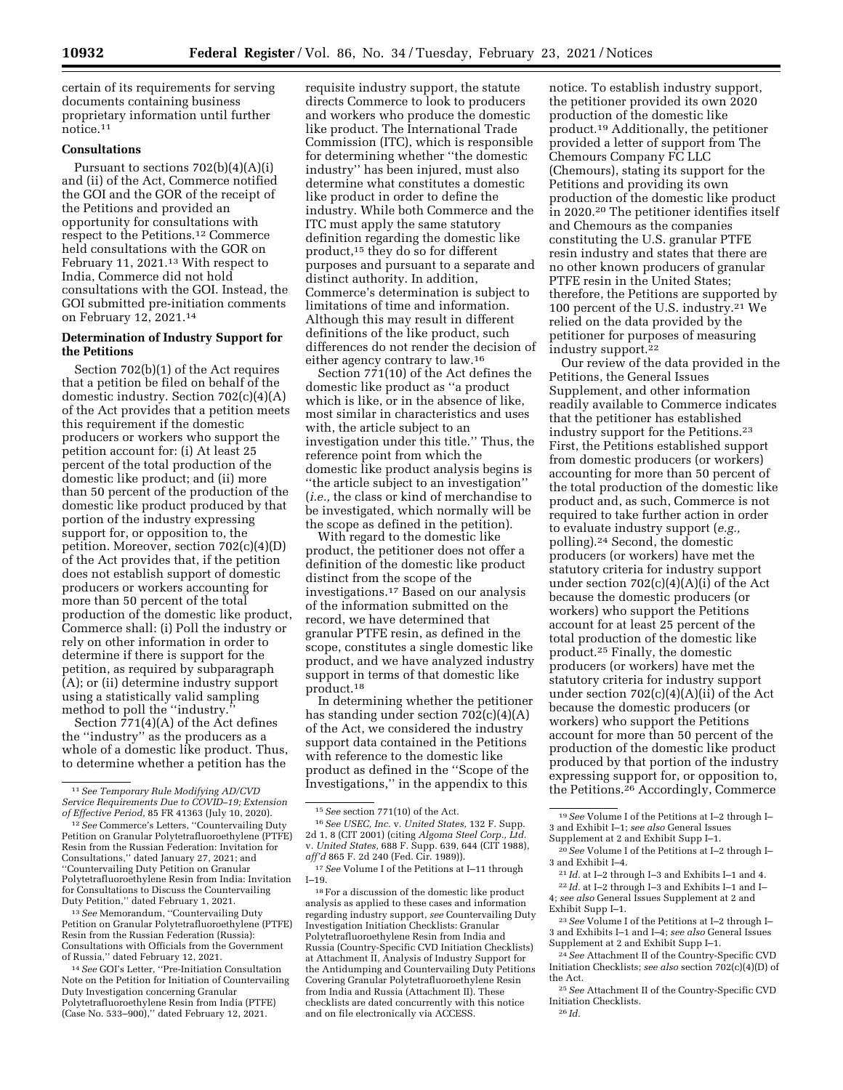certain of its requirements for serving documents containing business proprietary information until further notice.11

# **Consultations**

Pursuant to sections 702(b)(4)(A)(i) and (ii) of the Act, Commerce notified the GOI and the GOR of the receipt of the Petitions and provided an opportunity for consultations with respect to the Petitions.12 Commerce held consultations with the GOR on February 11, 2021.13 With respect to India, Commerce did not hold consultations with the GOI. Instead, the GOI submitted pre-initiation comments on February 12, 2021.14

# **Determination of Industry Support for the Petitions**

Section 702(b)(1) of the Act requires that a petition be filed on behalf of the domestic industry. Section 702(c)(4)(A) of the Act provides that a petition meets this requirement if the domestic producers or workers who support the petition account for: (i) At least 25 percent of the total production of the domestic like product; and (ii) more than 50 percent of the production of the domestic like product produced by that portion of the industry expressing support for, or opposition to, the petition. Moreover, section 702(c)(4)(D) of the Act provides that, if the petition does not establish support of domestic producers or workers accounting for more than 50 percent of the total production of the domestic like product, Commerce shall: (i) Poll the industry or rely on other information in order to determine if there is support for the petition, as required by subparagraph (A); or (ii) determine industry support using a statistically valid sampling method to poll the "industry."

Section  $771(4)(A)$  of the Act defines the ''industry'' as the producers as a whole of a domestic like product. Thus, to determine whether a petition has the

13*See* Memorandum, ''Countervailing Duty Petition on Granular Polytetrafluoroethylene (PTFE) Resin from the Russian Federation (Russia): Consultations with Officials from the Government of Russia,'' dated February 12, 2021.

14*See* GOI's Letter, ''Pre-Initiation Consultation Note on the Petition for Initiation of Countervailing Duty Investigation concerning Granular Polytetrafluoroethylene Resin from India (PTFE) (Case No. 533–900),'' dated February 12, 2021.

requisite industry support, the statute directs Commerce to look to producers and workers who produce the domestic like product. The International Trade Commission (ITC), which is responsible for determining whether ''the domestic industry'' has been injured, must also determine what constitutes a domestic like product in order to define the industry. While both Commerce and the ITC must apply the same statutory definition regarding the domestic like product,15 they do so for different purposes and pursuant to a separate and distinct authority. In addition, Commerce's determination is subject to limitations of time and information. Although this may result in different definitions of the like product, such differences do not render the decision of either agency contrary to law.16

Section 771(10) of the Act defines the domestic like product as ''a product which is like, or in the absence of like, most similar in characteristics and uses with, the article subject to an investigation under this title." Thus, the reference point from which the domestic like product analysis begins is ''the article subject to an investigation'' (*i.e.,* the class or kind of merchandise to be investigated, which normally will be the scope as defined in the petition).

With regard to the domestic like product, the petitioner does not offer a definition of the domestic like product distinct from the scope of the investigations.17 Based on our analysis of the information submitted on the record, we have determined that granular PTFE resin, as defined in the scope, constitutes a single domestic like product, and we have analyzed industry support in terms of that domestic like product.18

In determining whether the petitioner has standing under section 702(c)(4)(A) of the Act, we considered the industry support data contained in the Petitions with reference to the domestic like product as defined in the ''Scope of the Investigations,'' in the appendix to this

notice. To establish industry support, the petitioner provided its own 2020 production of the domestic like product.19 Additionally, the petitioner provided a letter of support from The Chemours Company FC LLC (Chemours), stating its support for the Petitions and providing its own production of the domestic like product in 2020.20 The petitioner identifies itself and Chemours as the companies constituting the U.S. granular PTFE resin industry and states that there are no other known producers of granular PTFE resin in the United States; therefore, the Petitions are supported by 100 percent of the U.S. industry.21 We relied on the data provided by the petitioner for purposes of measuring industry support.22

Our review of the data provided in the Petitions, the General Issues Supplement, and other information readily available to Commerce indicates that the petitioner has established industry support for the Petitions.23 First, the Petitions established support from domestic producers (or workers) accounting for more than 50 percent of the total production of the domestic like product and, as such, Commerce is not required to take further action in order to evaluate industry support (*e.g.,*  polling).24 Second, the domestic producers (or workers) have met the statutory criteria for industry support under section  $702(c)(4)(A)(i)$  of the Act because the domestic producers (or workers) who support the Petitions account for at least 25 percent of the total production of the domestic like product.25 Finally, the domestic producers (or workers) have met the statutory criteria for industry support under section 702(c)(4)(A)(ii) of the Act because the domestic producers (or workers) who support the Petitions account for more than 50 percent of the production of the domestic like product produced by that portion of the industry expressing support for, or opposition to, the Petitions.<sup>26</sup> Accordingly, Commerce

20*See* Volume I of the Petitions at I–2 through I– 3 and Exhibit I–4.

4; *see also* General Issues Supplement at 2 and Exhibit Supp I–1.

<sup>11</sup>*See Temporary Rule Modifying AD/CVD Service Requirements Due to COVID–19; Extension of Effective Period,* 85 FR 41363 (July 10, 2020).

<sup>&</sup>lt;sup>12</sup> See Commerce's Letters, "Countervailing Duty Petition on Granular Polytetrafluoroethylene (PTFE) Resin from the Russian Federation: Invitation for Consultations,'' dated January 27, 2021; and ''Countervailing Duty Petition on Granular Polytetrafluoroethylene Resin from India: Invitation for Consultations to Discuss the Countervailing Duty Petition,'' dated February 1, 2021.

<sup>15</sup>*See* section 771(10) of the Act.

<sup>16</sup>*See USEC, Inc.* v. *United States,* 132 F. Supp. 2d 1, 8 (CIT 2001) (citing *Algoma Steel Corp., Ltd.*  v. *United States,* 688 F. Supp. 639, 644 (CIT 1988), *aff'd* 865 F. 2d 240 (Fed. Cir. 1989)).

<sup>17</sup>*See* Volume I of the Petitions at I–11 through I–19.

<sup>18</sup>For a discussion of the domestic like product analysis as applied to these cases and information regarding industry support, *see* Countervailing Duty Investigation Initiation Checklists: Granular Polytetrafluoroethylene Resin from India and Russia (Country-Specific CVD Initiation Checklists) at Attachment II, Analysis of Industry Support for the Antidumping and Countervailing Duty Petitions Covering Granular Polytetrafluoroethylene Resin from India and Russia (Attachment II). These checklists are dated concurrently with this notice and on file electronically via ACCESS.

<sup>19</sup>*See* Volume I of the Petitions at I–2 through I– 3 and Exhibit I–1; *see also* General Issues Supplement at 2 and Exhibit Supp I–1.

<sup>21</sup> *Id.* at I–2 through I–3 and Exhibits I–1 and 4. 22 *Id.* at I–2 through I–3 and Exhibits I–1 and I–

<sup>23</sup>*See* Volume I of the Petitions at I–2 through I– 3 and Exhibits I–1 and I–4; *see also* General Issues Supplement at 2 and Exhibit Supp I–1.

<sup>24</sup>*See* Attachment II of the Country-Specific CVD Initiation Checklists; *see also* section 702(c)(4)(D) of the Act.

<sup>25</sup>*See* Attachment II of the Country-Specific CVD Initiation Checklists.

<sup>26</sup> *Id.*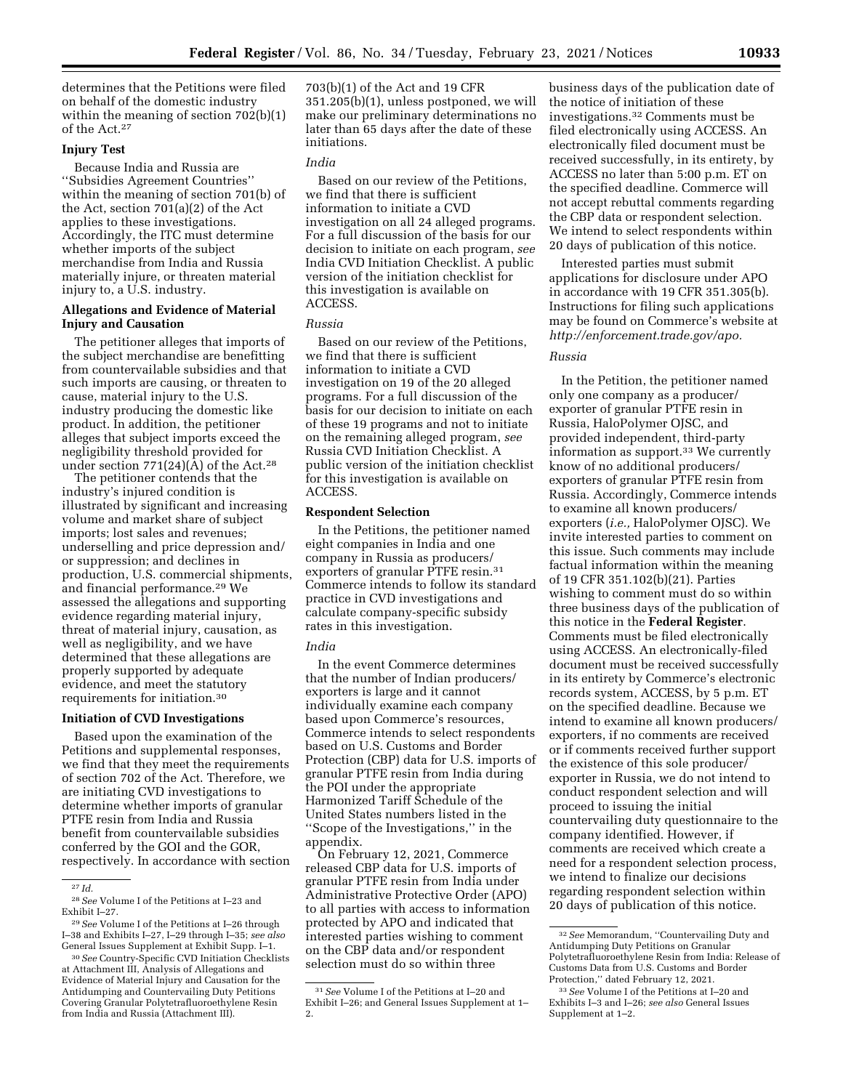determines that the Petitions were filed on behalf of the domestic industry within the meaning of section 702(b)(1) of the Act.27

# **Injury Test**

Because India and Russia are ''Subsidies Agreement Countries'' within the meaning of section 701(b) of the Act, section 701(a)(2) of the Act applies to these investigations. Accordingly, the ITC must determine whether imports of the subject merchandise from India and Russia materially injure, or threaten material injury to, a U.S. industry.

# **Allegations and Evidence of Material Injury and Causation**

The petitioner alleges that imports of the subject merchandise are benefitting from countervailable subsidies and that such imports are causing, or threaten to cause, material injury to the U.S. industry producing the domestic like product. In addition, the petitioner alleges that subject imports exceed the negligibility threshold provided for under section  $771(24)(A)$  of the Act.<sup>28</sup>

The petitioner contends that the industry's injured condition is illustrated by significant and increasing volume and market share of subject imports; lost sales and revenues; underselling and price depression and/ or suppression; and declines in production, U.S. commercial shipments, and financial performance.29 We assessed the allegations and supporting evidence regarding material injury, threat of material injury, causation, as well as negligibility, and we have determined that these allegations are properly supported by adequate evidence, and meet the statutory requirements for initiation.30

#### **Initiation of CVD Investigations**

Based upon the examination of the Petitions and supplemental responses, we find that they meet the requirements of section 702 of the Act. Therefore, we are initiating CVD investigations to determine whether imports of granular PTFE resin from India and Russia benefit from countervailable subsidies conferred by the GOI and the GOR, respectively. In accordance with section 703(b)(1) of the Act and 19 CFR 351.205(b)(1), unless postponed, we will make our preliminary determinations no later than 65 days after the date of these initiations.

#### *India*

Based on our review of the Petitions, we find that there is sufficient information to initiate a CVD investigation on all 24 alleged programs. For a full discussion of the basis for our decision to initiate on each program, *see*  India CVD Initiation Checklist. A public version of the initiation checklist for this investigation is available on ACCESS.

#### *Russia*

Based on our review of the Petitions, we find that there is sufficient information to initiate a CVD investigation on 19 of the 20 alleged programs. For a full discussion of the basis for our decision to initiate on each of these 19 programs and not to initiate on the remaining alleged program, *see*  Russia CVD Initiation Checklist. A public version of the initiation checklist for this investigation is available on ACCESS.

#### **Respondent Selection**

In the Petitions, the petitioner named eight companies in India and one company in Russia as producers/ exporters of granular PTFE resin.<sup>31</sup> Commerce intends to follow its standard practice in CVD investigations and calculate company-specific subsidy rates in this investigation.

#### *India*

In the event Commerce determines that the number of Indian producers/ exporters is large and it cannot individually examine each company based upon Commerce's resources, Commerce intends to select respondents based on U.S. Customs and Border Protection (CBP) data for U.S. imports of granular PTFE resin from India during the POI under the appropriate Harmonized Tariff Schedule of the United States numbers listed in the ''Scope of the Investigations,'' in the appendix.

On February 12, 2021, Commerce released CBP data for U.S. imports of granular PTFE resin from India under Administrative Protective Order (APO) to all parties with access to information protected by APO and indicated that interested parties wishing to comment on the CBP data and/or respondent selection must do so within three

business days of the publication date of the notice of initiation of these investigations.32 Comments must be filed electronically using ACCESS. An electronically filed document must be received successfully, in its entirety, by ACCESS no later than 5:00 p.m. ET on the specified deadline. Commerce will not accept rebuttal comments regarding the CBP data or respondent selection. We intend to select respondents within 20 days of publication of this notice.

Interested parties must submit applications for disclosure under APO in accordance with 19 CFR 351.305(b). Instructions for filing such applications may be found on Commerce's website at *[http://enforcement.trade.gov/apo.](http://enforcement.trade.gov/apo)* 

## *Russia*

In the Petition, the petitioner named only one company as a producer/ exporter of granular PTFE resin in Russia, HaloPolymer OJSC, and provided independent, third-party information as support.<sup>33</sup> We currently know of no additional producers/ exporters of granular PTFE resin from Russia. Accordingly, Commerce intends to examine all known producers/ exporters (*i.e.,* HaloPolymer OJSC). We invite interested parties to comment on this issue. Such comments may include factual information within the meaning of 19 CFR 351.102(b)(21). Parties wishing to comment must do so within three business days of the publication of this notice in the **Federal Register**. Comments must be filed electronically using ACCESS. An electronically-filed document must be received successfully in its entirety by Commerce's electronic records system, ACCESS, by 5 p.m. ET on the specified deadline. Because we intend to examine all known producers/ exporters, if no comments are received or if comments received further support the existence of this sole producer/ exporter in Russia, we do not intend to conduct respondent selection and will proceed to issuing the initial countervailing duty questionnaire to the company identified. However, if comments are received which create a need for a respondent selection process, we intend to finalize our decisions regarding respondent selection within 20 days of publication of this notice.

<sup>27</sup> *Id.* 

<sup>28</sup>*See* Volume I of the Petitions at I–23 and Exhibit I–27.

<sup>29</sup>*See* Volume I of the Petitions at I–26 through I–38 and Exhibits I–27, I–29 through I–35; *see also*  General Issues Supplement at Exhibit Supp. I–1.

<sup>30</sup>*See* Country-Specific CVD Initiation Checklists at Attachment III, Analysis of Allegations and Evidence of Material Injury and Causation for the Antidumping and Countervailing Duty Petitions Covering Granular Polytetrafluoroethylene Resin from India and Russia (Attachment III).

<sup>31</sup>*See* Volume I of the Petitions at I–20 and Exhibit I–26; and General Issues Supplement at 1– 2.

<sup>32</sup>*See* Memorandum, ''Countervailing Duty and Antidumping Duty Petitions on Granular Polytetrafluoroethylene Resin from India: Release of Customs Data from U.S. Customs and Border Protection,'' dated February 12, 2021.

<sup>33</sup>*See* Volume I of the Petitions at I–20 and Exhibits I–3 and I–26; *see also* General Issues Supplement at 1–2.